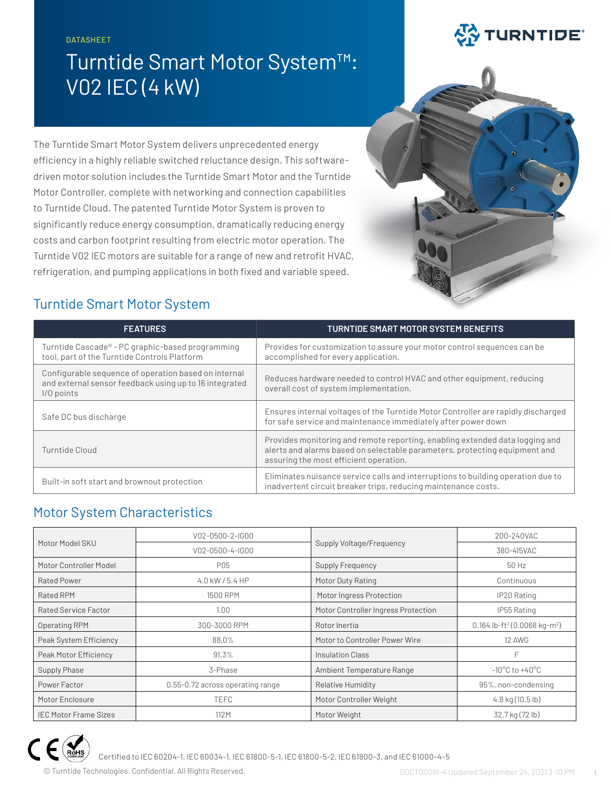#### DATASHEET

# Turntide Smart Motor System™: V02 IEC (4 kW)

# **EX TURNTIDE**

The Turntide Smart Motor System delivers unprecedented energy efficiency in a highly reliable switched reluctance design. This softwaredriven motor solution includes the Turntide Smart Motor and the Turntide Motor Controller, complete with networking and connection capabilities to Turntide Cloud. The patented Turntide Motor System is proven to significantly reduce energy consumption, dramatically reducing energy costs and carbon footprint resulting from electric motor operation. The Turntide V02 IEC motors are suitable for a range of new and retrofit HVAC, refrigeration, and pumping applications in both fixed and variable speed.



## Turntide Smart Motor System

| <b>FEATURES</b>                                                                                                              | <b>TURNTIDE SMART MOTOR SYSTEM BENEFITS</b>                                                                                                                                                          |
|------------------------------------------------------------------------------------------------------------------------------|------------------------------------------------------------------------------------------------------------------------------------------------------------------------------------------------------|
| Turntide Cascade® - PC graphic-based programming<br>tool, part of the Turntide Controls Platform                             | Provides for customization to assure your motor control sequences can be<br>accomplished for every application.                                                                                      |
| Configurable sequence of operation based on internal<br>and external sensor feedback using up to 16 integrated<br>I/O points | Reduces hardware needed to control HVAC and other equipment, reducing<br>overall cost of system implementation.                                                                                      |
| Safe DC bus discharge                                                                                                        | Ensures internal voltages of the Turntide Motor Controller are rapidly discharged<br>for safe service and maintenance immediately after power down                                                   |
| Turntide Cloud                                                                                                               | Provides monitoring and remote reporting, enabling extended data logging and<br>alerts and alarms based on selectable parameters, protecting equipment and<br>assuring the most efficient operation. |
| Built-in soft start and brownout protection                                                                                  | Eliminates nuisance service calls and interruptions to building operation due to<br>inadvertent circuit breaker trips, reducing maintenance costs.                                                   |

#### Motor System Characteristics

| Motor Model SKU              | V02-0500-2-IG00                  |                                     | 200-240VAC                                           |  |
|------------------------------|----------------------------------|-------------------------------------|------------------------------------------------------|--|
|                              | V02-0500-4-IG00                  | Supply Voltage/Frequency            | 380-415VAC                                           |  |
| Motor Controller Model       | P05                              | Supply Frequency                    | 50 Hz                                                |  |
| Rated Power                  | $4.0$ kW / 5.4 HP                | Motor Duty Rating                   | Continuous                                           |  |
| <b>Rated RPM</b>             | 1500 RPM                         | Motor Ingress Protection            | IP20 Rating                                          |  |
| Rated Service Factor         | 1.00                             | Motor Controller Ingress Protection | IP55 Rating                                          |  |
| Operating RPM                | 300-3000 RPM                     | Rotor Inertia                       | 0.164 lb-ft <sup>2</sup> (0.0068 kg-m <sup>2</sup> ) |  |
| Peak System Efficiency       | 88.0%                            | Motor to Controller Power Wire      | 12 AWG                                               |  |
| <b>Peak Motor Efficiency</b> | 91.3%                            | Insulation Class                    | F                                                    |  |
| Supply Phase                 | 3-Phase                          | Ambient Temperature Range           | $-10^{\circ}$ C to $+40^{\circ}$ C                   |  |
| Power Factor                 | 0.55-0.72 across operating range | Relative Humidity                   | 95%, non-condensing                                  |  |
| Motor Enclosure              | <b>TEFC</b>                      | Motor Controller Weight             | $4.8$ kg (10.5 lb)                                   |  |
| <b>IEC Motor Frame Sizes</b> | 112M                             | Motor Weight                        | 32.7 kg (72 lb)                                      |  |



Certified to IEC 60204-1, IEC 60034-1, IEC 61800-5-1, IEC 61800-5-2, IEC 61800-3, and IEC 61000-4-5

© Turntide Technologies. Confidential. All Rights Reserved. DOCT00091-4 Updated September 24, 2021 3:10 PM **1**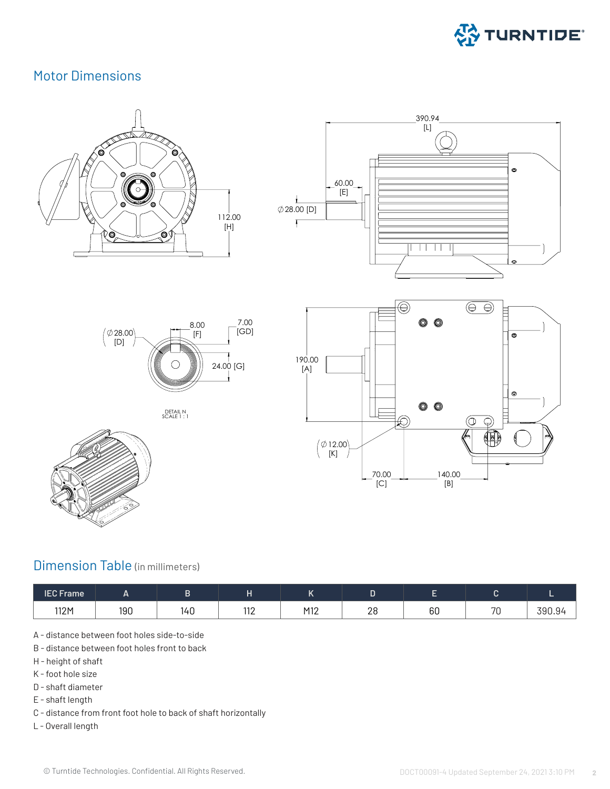

#### Motor Dimensions 1. Motor Dimensions HULUI DIITENSIONS













#### Dimension Table (in millimeters)

| <b>IEC Frame</b> | <u>_</u> |     | . .               | . .                                 |                                               |    |           |        |
|------------------|----------|-----|-------------------|-------------------------------------|-----------------------------------------------|----|-----------|--------|
| 112M             | 190      | 14U | 110<br>$\sqrt{2}$ | M1 <sup>o</sup><br>$\overline{112}$ | $\Omega$<br>∠∪<br>and the control of the con- | 60 | 70<br>7 U | 390.94 |

- A distance between foot holes side-to-side
- B distance between foot holes front to back
- H height of shaft
- K foot hole size
- D shaft diameter
- E shaft length
- C distance from front foot hole to back of shaft horizontally
- L Overall length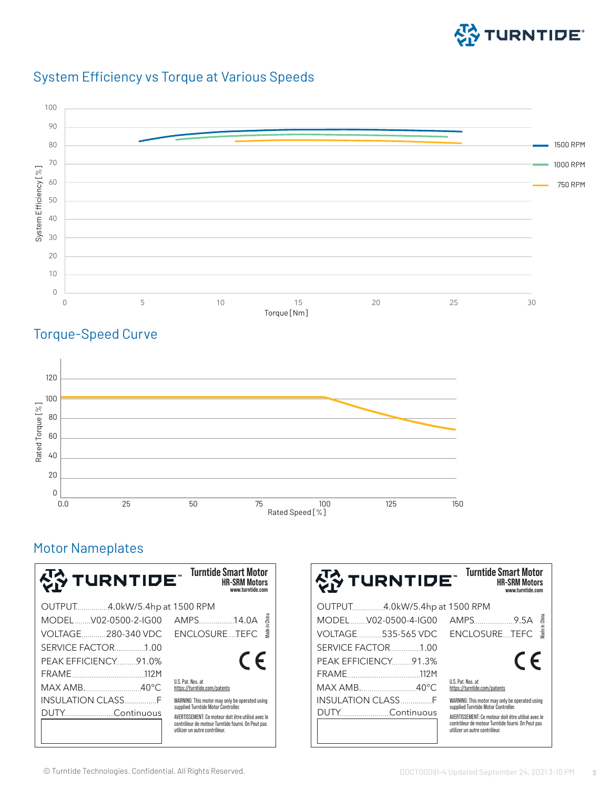





# Torque-Speed Curve



# Motor Nameplates

| 상 TURNTIDE¨                   | <b>Turntide Smart Motor</b><br><b>HR-SRM Motors</b><br>www.turntide.com               |
|-------------------------------|---------------------------------------------------------------------------------------|
| OUTPUT4.0kW/5.4hp at 1500 RPM |                                                                                       |
| MODELV02-0500-2-IG00          | Made in China<br>AMPS14.0A                                                            |
| VOLTAGE280-340 VDC            | ENCLOSURETEFC                                                                         |
| SERVICE FACTOR1.00            |                                                                                       |
| PEAK EFFICIENCY 91.0%         | $\epsilon$                                                                            |
|                               |                                                                                       |
| MAX AMB40°C                   | U.S. Pat. Nos. at<br>https://turntide.com/patents                                     |
| INSULATION CLASSF             | WARNING: This motor may only be operated using<br>supplied Turntide Motor Controller. |
|                               | AVERTISSEMENT: Ce moteur doit être utilisé avec le                                    |
|                               | contrôleur de moteur Turntide fourni. On Peut pas<br>utilizer un autre contrôleur.    |

| 상 TURNTIDE¨                   | <b>Turntide Smart Motor</b><br><b>HR-SRM Motors</b><br>www.turntide.com               |
|-------------------------------|---------------------------------------------------------------------------------------|
| OUTPUT4.0kW/5.4hp at 1500 RPM |                                                                                       |
| MODEL V02-0500-4-IG00         | lade in China                                                                         |
| VOLTAGE535-565 VDC            | ENCLOSURETEFC                                                                         |
| SERVICE FACTOR 1.00           |                                                                                       |
| PEAK EFFICIENCY 91.3%         | $\epsilon$                                                                            |
|                               |                                                                                       |
| MAX AMB40°C                   | U.S. Pat. Nos. at<br>https://turntide.com/patents                                     |
| <b>INSULATION CLASSF</b>      | WARNING: This motor may only be operated using<br>supplied Turntide Motor Controller. |
| DUTY Continuous               | AVERTISSEMENT: Ce moteur doit être utilisé avec le                                    |
|                               | contrôleur de moteur Turntide fourni. On Peut pas<br>utilizer un autre contrôleur.    |